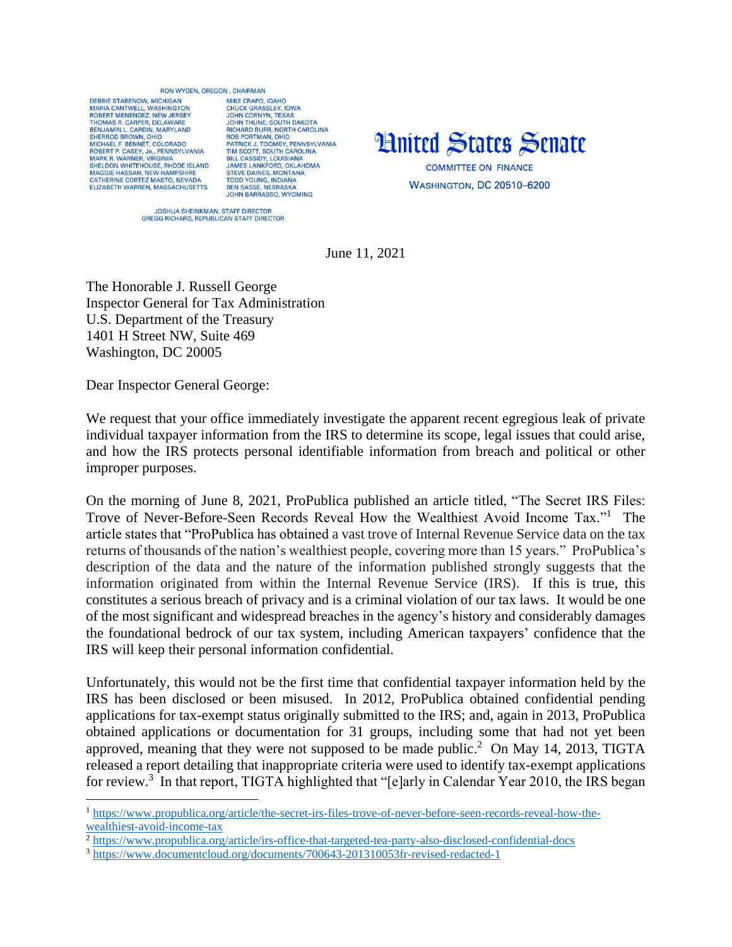## BON WYDEN OREGON CHAIRMAN

DERRIE STARENOW MICHIGAN MARIA CANTWELL, WASHINGTON<br>ROBERT MENENDEZ, NEW JERSEY THOMAS R. CARPER, DELAWARE BENJAMIN L. CARDIN, MARYLAND<br>SHERROD BROWN, OHIO MICHAEL E BENNET, COLOBADO ROBERT P. CASEY, JR., PENNSYLVANIA<br>MARK R. WARNER, VIRGINIA SHELDON WHITEHOUSE, RHODE ISLAND SILLED MAGGIE HASSAN, NEW HAMPSHIRE<br>CATHERINE CORTEZ MASTO, NEVADA<br>ELIZABETH WARREN, MASSACHUSETTS

MIKE CRAPO IDAHO CHUCK GRASSLEY, IOWA<br>JOHN CORNYN, TEXAS JOHN CORNYN, TEXAS<br>JOHN THUNE, SOUTH DAKOTA<br>RICHARD BURR, NORTH CAROLINA<br>ROB PORTMANI, OHIO<br>PATRICK J. TOOMEY, PENNSYLVANIA<br>TIM SCOTT, SOUTH CAROLINA<br>JAMES LANKFORD, OKLAHOMA<br>STEVIE DAINIES MONTANA<br>STEVIE DAINIES MONTANA SANDS DANNES, MONTANA<br>TODD YOUNG, INDIANA<br>BEN SASSE, NEBRASKA **JOHN BARRASSO, WYOMING** 



JOSHUA SHEINKMAN, STAFF DIRECTOR<br>GREGG RICHARD, REPUBLICAN STAFF DIRECTOR

June 11, 2021

The Honorable J. Russell George Inspector General for Tax Administration U.S. Department of the Treasury 1401 H Street NW, Suite 469 Washington, DC 20005

Dear Inspector General George:

 $\overline{a}$ 

We request that your office immediately investigate the apparent recent egregious leak of private individual taxpayer information from the IRS to determine its scope, legal issues that could arise, and how the IRS protects personal identifiable information from breach and political or other improper purposes.

On the morning of June 8, 2021, ProPublica published an article titled, "The Secret IRS Files: Trove of Never-Before-Seen Records Reveal How the Wealthiest Avoid Income Tax."<sup>1</sup> The article states that "ProPublica has obtained a vast trove of Internal Revenue Service data on the tax returns of thousands of the nation's wealthiest people, covering more than 15 years." ProPublica's description of the data and the nature of the information published strongly suggests that the information originated from within the Internal Revenue Service (IRS). If this is true, this constitutes a serious breach of privacy and is a criminal violation of our tax laws. It would be one of the most significant and widespread breaches in the agency's history and considerably damages the foundational bedrock of our tax system, including American taxpayers' confidence that the IRS will keep their personal information confidential.

Unfortunately, this would not be the first time that confidential taxpayer information held by the IRS has been disclosed or been misused. In 2012, ProPublica obtained confidential pending applications for tax-exempt status originally submitted to the IRS; and, again in 2013, ProPublica obtained applications or documentation for 31 groups, including some that had not yet been approved, meaning that they were not supposed to be made public.<sup>2</sup> On May 14, 2013, TIGTA released a report detailing that inappropriate criteria were used to identify tax-exempt applications for review.<sup>3</sup> In that report, TIGTA highlighted that "[e]arly in Calendar Year 2010, the IRS began

<sup>1</sup> https://www.propublica.org/article/the-secret-irs-files-trove-of-never-before-seen-records-reveal-how-thewealthiest-avoid-income-tax

<sup>&</sup>lt;sup>2</sup> https://www.propublica.org/article/irs-office-that-targeted-tea-party-also-disclosed-confidential-docs

<sup>3</sup> https://www.documentcloud.org/documents/700643-201310053fr-revised-redacted-1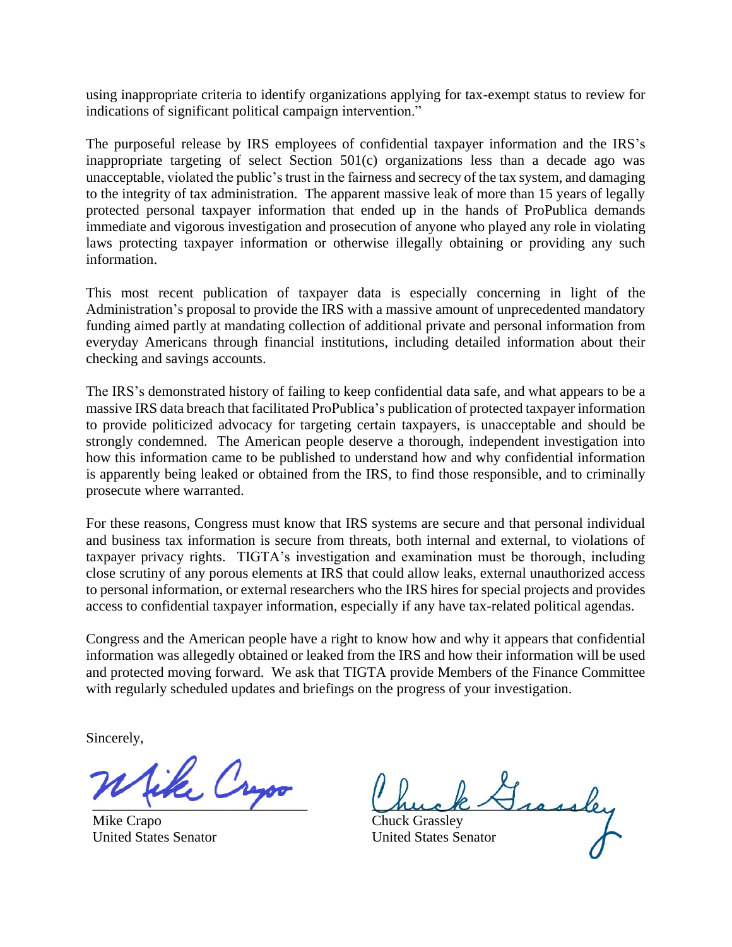using inappropriate criteria to identify organizations applying for tax-exempt status to review for indications of significant political campaign intervention."

The purposeful release by IRS employees of confidential taxpayer information and the IRS's inappropriate targeting of select Section 501(c) organizations less than a decade ago was unacceptable, violated the public's trust in the fairness and secrecy of the tax system, and damaging to the integrity of tax administration. The apparent massive leak of more than 15 years of legally protected personal taxpayer information that ended up in the hands of ProPublica demands immediate and vigorous investigation and prosecution of anyone who played any role in violating laws protecting taxpayer information or otherwise illegally obtaining or providing any such information.

This most recent publication of taxpayer data is especially concerning in light of the Administration's proposal to provide the IRS with a massive amount of unprecedented mandatory funding aimed partly at mandating collection of additional private and personal information from everyday Americans through financial institutions, including detailed information about their checking and savings accounts.

The IRS's demonstrated history of failing to keep confidential data safe, and what appears to be a massive IRS data breach that facilitated ProPublica's publication of protected taxpayer information to provide politicized advocacy for targeting certain taxpayers, is unacceptable and should be strongly condemned. The American people deserve a thorough, independent investigation into how this information came to be published to understand how and why confidential information is apparently being leaked or obtained from the IRS, to find those responsible, and to criminally prosecute where warranted.

For these reasons, Congress must know that IRS systems are secure and that personal individual and business tax information is secure from threats, both internal and external, to violations of taxpayer privacy rights. TIGTA's investigation and examination must be thorough, including close scrutiny of any porous elements at IRS that could allow leaks, external unauthorized access to personal information, or external researchers who the IRS hires for special projects and provides access to confidential taxpayer information, especially if any have tax-related political agendas.

Congress and the American people have a right to know how and why it appears that confidential information was allegedly obtained or leaked from the IRS and how their information will be used and protected moving forward. We ask that TIGTA provide Members of the Finance Committee with regularly scheduled updates and briefings on the progress of your investigation.

Sincerely,

ike Cryso  $\overline{\phantom{a}}$ 

Mike Crapo United States Senator

huck Jisse

Chuck Grassley United States Senator